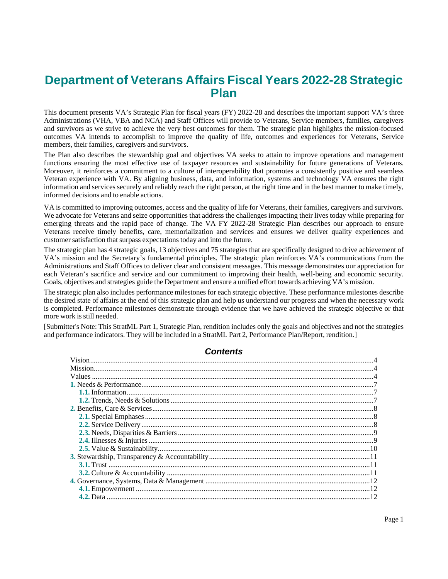# **Department of Veterans Affairs Fiscal Years 2022-28 Strategic Plan**

This document presents VA's Strategic Plan for fiscal years (FY) 2022-28 and describes the important support VA's three Administrations (VHA, VBA and NCA) and Staff Offices will provide to Veterans, Service members, families, caregivers and survivors as we strive to achieve the very best outcomes for them. The strategic plan highlights the mission-focused outcomes VA intends to accomplish to improve the quality of life, outcomes and experiences for Veterans, Service members, their families, caregivers and survivors.

The Plan also describes the stewardship goal and objectives VA seeks to attain to improve operations and management functions ensuring the most effective use of taxpayer resources and sustainability for future generations of Veterans. Moreover, it reinforces a commitment to a culture of interoperability that promotes a consistently positive and seamless Veteran experience with VA. By aligning business, data, and information, systems and technology VA ensures the right information and services securely and reliably reach the right person, at the right time and in the best manner to make timely, informed decisions and to enable actions.

VA is committed to improving outcomes, access and the quality of life for Veterans, their families, caregivers and survivors. We advocate for Veterans and seize opportunities that address the challenges impacting their lives today while preparing for emerging threats and the rapid pace of change. The VA FY 2022-28 Strategic Plan describes our approach to ensure Veterans receive timely benefits, care, memorialization and services and ensures we deliver quality experiences and customer satisfaction that surpass expectations today and into the future.

The strategic plan has 4 strategic goals, 13 objectives and 75 strategies that are specifically designed to drive achievement of VA's mission and the Secretary's fundamental principles. The strategic plan reinforces VA's communications from the Administrations and Staff Offices to deliver clear and consistent messages. This message demonstrates our appreciation for each Veteran's sacrifice and service and our commitment to improving their health, well-being and economic security. Goals, objectives and strategies guide the Department and ensure a unified effort towards achieving VA's mission.

The strategic plan also includes performance milestones for each strategic objective. These performance milestones describe the desired state of affairs at the end of this strategic plan and help us understand our progress and when the necessary work is completed. Performance milestones demonstrate through evidence that we have achieved the strategic objective or that more work is still needed.

[Submitter's Note: ThisStratML Part 1, Strategic Plan, rendition includes only the goals and objectives and not the strategies and performance indicators. They will be included in a StratML Part 2, Performance Plan/Report, rendition.]

### **Contents**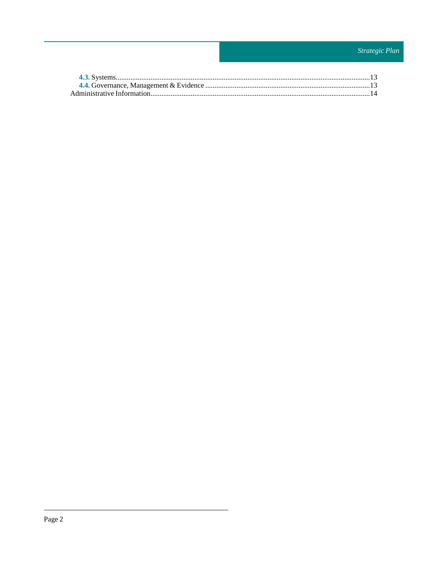# Strategic Plan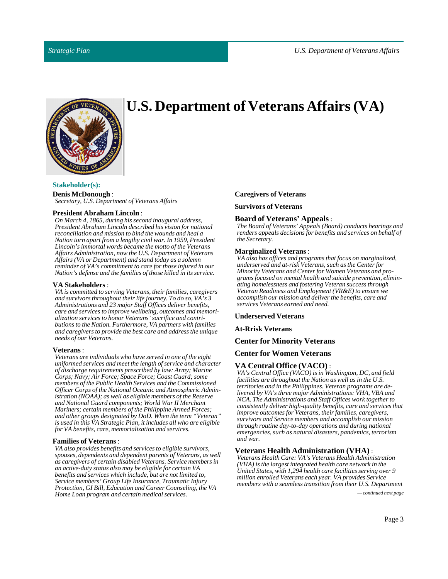

# **U.S. Department of Veterans Affairs(VA)**

### **Stakeholder(s):**

**Denis McDonough**: *Secretary, U.S. Department of Veterans Affairs*

#### **President Abraham Lincoln**:

*On March 4, 1865, during his second inaugural address, President Abraham Lincoln described his vision for national reconciliation and mission to bind the wounds and heal a Nation torn apart from a lengthy civil war. In 1959, President Lincoln's immortal words became the motto of the Veterans Affairs Administration, now the U.S. Department of Veterans Affairs (VA or Department) and stand today as a solemn reminder of VA's commitment to care for those injured in our Nation's defense and the families of those killed in its service.*

#### **VA Stakeholders** :

*VA is committed to serving Veterans, their families, caregivers and survivors throughout their life journey. To do so, VA's 3 Administrations and 23 major Staff Offices deliver benefits, care and services to improve wellbeing, outcomes and memorialization services to honor Veterans' sacrifice and contributions to the Nation. Furthermore, VA partners with families and caregivers to provide the best care and address the unique needs of our Veterans.*

#### **Veterans** :

*Veterans are individuals who have served in one of the eight uniformed services and meet the length of service and character of discharge requirements prescribed by law: Army; Marine Corps; Navy; Air Force; Space Force; Coast Guard; some members of the Public Health Services and the Commissioned Officer Corps of the National Oceanic and Atmospheric Administration (NOAA); as well as eligible members of the Reserve and National Guard components; World War II Merchant Mariners; certain members of the Philippine Armed Forces; and other groups designated by DoD. When the term "Veteran" is used in this VA Strategic Plan, it includes all who are eligible for VA benefits, care, memorialization and services.*

#### **Families of Veterans**:

*VA also provides benefits and services to eligible survivors, spouses, dependents and dependent parents of Veterans, as well as caregivers of certain disabled Veterans. Service members in an active-duty status also may be eligible for certain VA benefits and services which include, but are not limited to, Service members' Group Life Insurance, Traumatic Injury Protection, GI Bill, Education and Career Counseling, the VA Home Loan program and certain medical services. — continued next page*

#### **Caregivers of Veterans**

**Survivors of Veterans**

#### **Board of Veterans' Appeals**:

*The Board of Veterans' Appeals (Board) conducts hearings and renders appeals decisions for benefits and services on behalf of the Secretary.*

#### **Marginalized Veterans** :

*VA also has offices and programs that focus on marginalized, underserved and at-risk Veterans, such as the Center for Minority Veterans and Center for Women Veterans and programs focused on mental health and suicide prevention, eliminating homelessness and fostering Veteran success through Veteran Readiness and Employment (VR&E) to ensure we accomplish our mission and deliver the benefits, care and services Veterans earned and need.*

#### **Underserved Veterans**

**At-Rrisk Veterans**

#### **Center for Minority Veterans**

#### **Center for Women Veterans**

#### **VA Central Office (VACO)** :

*VA's Central Office (VACO) is in Washington, DC, and field facilities are throughout the Nation as well as in the U.S. territories and in the Philippines. Veteran programs are delivered by VA's three major Administrations: VHA, VBA and NCA. The Administrations and Staff Offices work together to consistently deliver high-quality benefits, care and services that improve outcomes for Veterans, their families, caregivers, survivors and Service members and accomplish our mission through routine day-to-day operations and during national emergencies, such as natural disasters, pandemics, terrorism and war.*

#### **Veterans Health Administration (VHA)** :

*Veterans Health Care: VA's Veterans Health Administration (VHA) is the largest integrated health care network in the United States, with 1,294 health care facilities serving over 9 million enrolled Veterans each year. VA provides Service members with a seamless transition from their U.S. Department*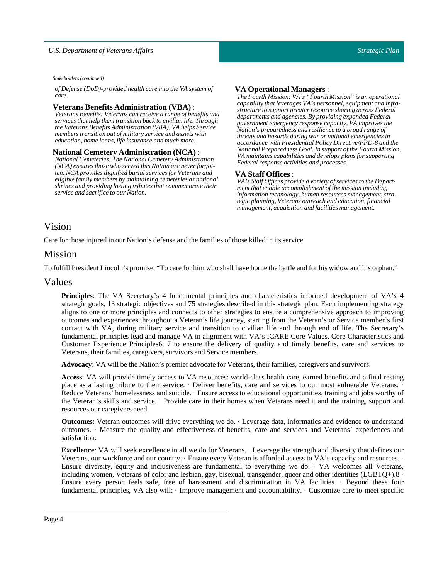*Stakeholders (continued)*

*of Defense (DoD)-provided health care into the VA system of care.*

#### **Veterans Benefits Administration (VBA)** :

*Veterans Benefits: Veterans can receive a range of benefits and services that help them transition back to civilian life. Through the Veterans Benefits Administration (VBA), VA helps Service members transition out of military service and assists with education, home loans, life insurance and much more.*

#### **National Cemetery Administration (NCA)** :

*National Cemeteries: The National Cemetery Administration (NCA) ensures those who served this Nation are never forgotten. NCA provides dignified burial services for Veterans and eligible family members by maintaining cemeteries as national shrines and providing lasting tributes that commemorate their service and sacrifice to our Nation.*

#### **VA Operational Managers**:

*The Fourth Mission: VA's "Fourth Mission" is an operational capability that leverages VA's personnel, equipment and infrastructure to support greater resource sharing across Federal departments and agencies. By providing expanded Federal government emergency response capacity, VA improves the Nation's preparedness and resilience to a broad range of threats and hazards during war or national emergencies in accordance with Presidential Policy Directive/PPD-8 and the National Preparedness Goal. In support of the Fourth Mission, VA maintains capabilities and develops plans for supporting Federal response activities and processes.*

### **VA Staff Offices**:

*VA's Staff Offices provide a variety of services to the Department that enable accomplishment of the mission including information technology, human resources management, strategic planning, Veterans outreach and education, financial management, acquisition and facilities management.*

## <span id="page-3-0"></span>Vision

Care for those injured in our Nation's defense and the families of those killed in its service

### <span id="page-3-1"></span>Mission

To fulfillPresident Lincoln's promise, "To care for him who shall have borne the battle and for his widow and his orphan."

### <span id="page-3-2"></span>Values

**Principles**: The VA Secretary's 4 fundamental principles and characteristics informed development of VA's 4 strategic goals, 13 strategic objectives and 75 strategies described in this strategic plan. Each implementing strategy aligns to one or more principles and connects to other strategies to ensure a comprehensive approach to improving outcomes and experiences throughout a Veteran's life journey, starting from the Veteran's or Service member's first contact with VA, during military service and transition to civilian life and through end of life. The Secretary's fundamental principles lead and manage VA in alignment with VA's ICARE Core Values, Core Characteristics and Customer Experience Principles6, 7 to ensure the delivery of quality and timely benefits, care and services to Veterans, their families, caregivers, survivors and Service members.

**Advocacy:** VA will be the Nation's premier advocate for Veterans, their families, caregivers and survivors.

**Access**: VA will provide timely access to VA resources: world-class health care, earned benefits and a final resting place as a lasting tribute to their service. · Deliver benefits, care and services to our most vulnerable Veterans. · Reduce Veterans' homelessness and suicide. · Ensure access to educational opportunities, training and jobs worthy of the Veteran's skills and service. · Provide care in their homes when Veterans need it and the training, support and resources our caregivers need.

**Outcomes**: Veteran outcomes will drive everything we do. · Leverage data, informatics and evidence to understand outcomes. · Measure the quality and effectiveness of benefits, care and services and Veterans' experiences and satisfaction.

**Excellence**: VA will seek excellence in all we do for Veterans. · Leverage the strength and diversity that defines our Veterans, our workforce and our country. · Ensure every Veteran is afforded access to VA's capacity and resources. · Ensure diversity, equity and inclusiveness are fundamental to everything we do. · VA welcomes all Veterans, including women, Veterans of color and lesbian, gay, bisexual, transgender, queer and other identities (LGBTQ+).8 · Ensure every person feels safe, free of harassment and discrimination in VA facilities. · Beyond these four fundamental principles, VA also will: · Improve management and accountability. · Customize care to meet specific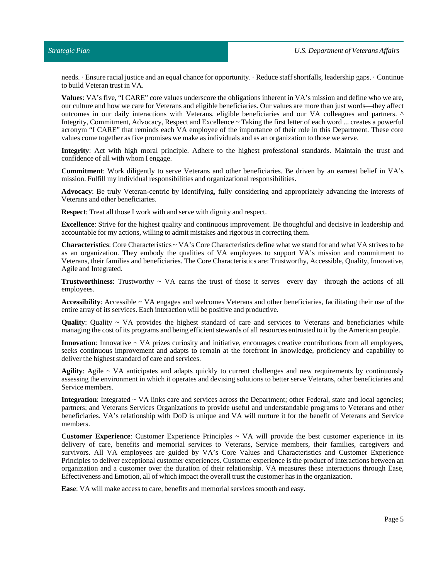needs. · Ensure racial justice and an equal chance for opportunity. · Reduce staff shortfalls, leadership gaps. · Continue to build Veteran trust in VA.

**Values**: VA's five, "I CARE" core values underscore the obligations inherent in VA's mission and define who we are, our culture and how we care for Veterans and eligible beneficiaries. Our values are more than just words—they affect outcomes in our daily interactions with Veterans, eligible beneficiaries and our VA colleagues and partners. ^ Integrity, Commitment, Advocacy, Respect and Excellence ~ Taking the first letter of each word ... creates a powerful acronym "I CARE" that reminds each VA employee of the importance of their role in this Department. These core values come together as five promises we make as individuals and as an organization to those we serve.

**Integrity**: Act with high moral principle. Adhere to the highest professional standards. Maintain the trust and confidence of all with whom I engage.

**Commitment**: Work diligently to serve Veterans and other beneficiaries. Be driven by an earnest belief in VA's mission.Fulfill my individual responsibilities and organizational responsibilities.

**Advocacy**: Be truly Veteran-centric by identifying, fully considering and appropriately advancing the interests of Veterans and other beneficiaries.

**Respect:** Treat all those I work with and serve with dignity and respect.

**Excellence**: Strive for the highest quality and continuous improvement. Be thoughtful and decisive in leadership and accountable for my actions, willing to admit mistakes and rigorous in correcting them.

**Characteristics**: Core Characteristics ~ VA's Core Characteristics define what we stand for and what VA strives to be as an organization. They embody the qualities of VA employees to support VA's mission and commitment to Veterans, their families and beneficiaries. The Core Characteristics are: Trustworthy, Accessible, Quality, Innovative, Agile and Integrated.

**Trustworthiness:** Trustworthy  $\sim$  VA earns the trust of those it serves—every day—through the actions of all employees.

**Accessibility**: Accessible ~ VA engages and welcomes Veterans and other beneficiaries, facilitating their use of the entire array of its services. Each interaction will be positive and productive.

**Quality**: Quality ~ VA provides the highest standard of care and services to Veterans and beneficiaries while managing the cost of its programs and being efficient stewards of all resources entrusted to it by the American people.

**Innovation**: Innovative ~ VA prizes curiosity and initiative, encourages creative contributions from all employees, seeks continuous improvement and adapts to remain at the forefront in knowledge, proficiency and capability to deliver the highest standard of care and services.

**Agility**: Agile ~ VA anticipates and adapts quickly to current challenges and new requirements by continuously assessing the environment in which it operates and devising solutions to better serve Veterans, other beneficiaries and Service members.

**Integration**: Integrated ~ VA links care and services across the Department; other Federal, state and local agencies; partners; and Veterans Services Organizations to provide useful and understandable programs to Veterans and other beneficiaries. VA's relationship with DoD is unique and VA will nurture it for the benefit of Veterans and Service members.

**Customer Experience**: Customer Experience Principles ~ VA will provide the best customer experience in its delivery of care, benefits and memorial services to Veterans, Service members, their families, caregivers and survivors. All VA employees are guided by VA's Core Values and Characteristics and Customer Experience Principles to deliver exceptional customer experiences. Customer experience is the product of interactions between an organization and a customer over the duration of their relationship. VA measures these interactions through Ease, Effectiveness and Emotion, all of which impact the overall trust the customer has in the organization.

**Ease**: VA will make access to care, benefits and memorial services smooth and easy.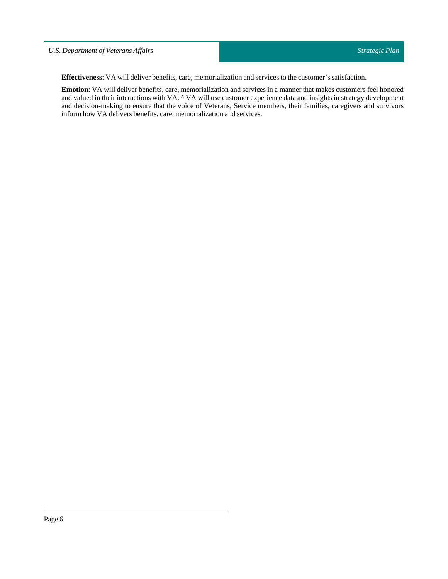### *U.S. Department of Veterans Affairs*

**Effectiveness**: VA will deliver benefits, care, memorialization and services to the customer's satisfaction.

**Emotion**: VA will deliver benefits, care, memorialization and services in a manner that makes customers feel honored and valued in their interactions with VA. ^ VA will use customer experience data and insights in strategy development and decision-making to ensure that the voice of Veterans, Service members, their families, caregivers and survivors inform how VA delivers benefits, care, memorialization and services.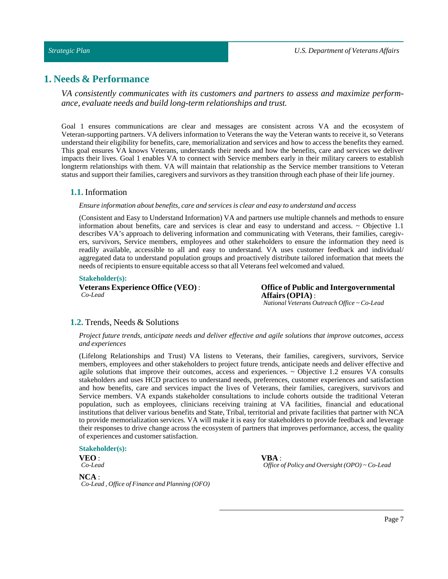### *Strategic Plan*

# <span id="page-6-0"></span>**1. Needs & Performance**

*VA consistently communicates with its customers and partners to assess and maximize performance, evaluate needs and build long-term relationships and trust.*

Goal 1 ensures communications are clear and messages are consistent across VA and the ecosystem of Veteran-supporting partners. VA delivers information to Veterans the way the Veteran wants to receive it, so Veterans understand their eligibility for benefits, care, memorialization and services and how to access the benefits they earned. This goal ensures VA knows Veterans, understands their needs and how the benefits, care and services we deliver impacts their lives. Goal 1 enables VA to connect with Service members early in their military careers to establish longterm relationships with them. VA will maintain that relationship as the Service member transitions to Veteran status and supporttheir families, caregivers and survivors as they transition through each phase of their life journey.

### <span id="page-6-1"></span>**1.1.** Information

#### *Ensure information about benefits, care and services is clear and easy to understand and access*

(Consistent and Easy to Understand Information) VA and partners use multiple channels and methods to ensure information about benefits, care and services is clear and easy to understand and access. ~ Objective 1.1 describes VA's approach to delivering information and communicating with Veterans, their families, caregivers, survivors, Service members, employees and other stakeholders to ensure the information they need is readily available, accessible to all and easy to understand. VA uses customer feedback and individual/ aggregated data to understand population groups and proactively distribute tailored information that meets the needs of recipients to ensure equitable access so that all Veterans feel welcomed and valued.

#### **Stakeholder(s):**

**Veterans Experience Office (VEO)** : *Co-Lead*

**Office of Public and Intergovernmental Affairs(OPIA)** : *National Veterans Outreach Office ~ Co-Lead*

### <span id="page-6-2"></span>**1.2.** Trends, Needs & Solutions

#### *Project future trends, anticipate needs and deliver effective and agile solutions that improve outcomes, access and experiences*

(Lifelong Relationships and Trust) VA listens to Veterans, their families, caregivers, survivors, Service members, employees and other stakeholders to project future trends, anticipate needs and deliver effective and agile solutions that improve their outcomes, access and experiences.  $\sim$  Objective 1.2 ensures VA consults stakeholders and uses HCD practices to understand needs, preferences, customer experiences and satisfaction and how benefits, care and services impact the lives of Veterans, their families, caregivers, survivors and Service members. VA expands stakeholder consultations to include cohorts outside the traditional Veteran population, such as employees, clinicians receiving training at VA facilities, financial and educational institutions that deliver various benefits and State, Tribal, territorial and private facilities that partner with NCA to provide memorialization services. VA will make it is easy for stakeholders to provide feedback and leverage their responses to drive change across the ecosystem of partners that improves performance, access, the quality of experiences and customer satisfaction.

#### **Stakeholder(s):**

**VEO** : *Co-Lead* **VBA** : *Office of Policy and Oversight (OPO) ~ Co-Lead*

**NCA** : *Co-Lead , Office of Finance and Planning (OFO)*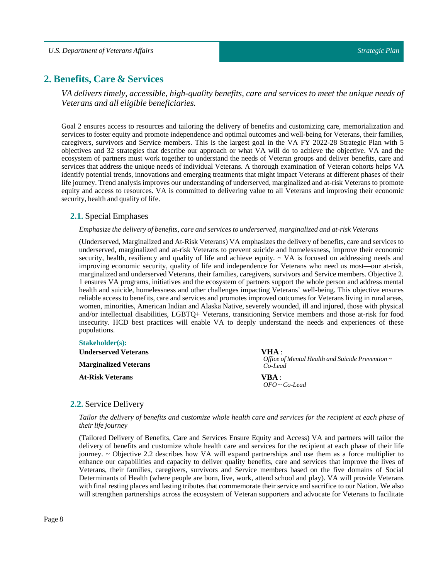# <span id="page-7-0"></span>**2. Benefits, Care & Services**

*VA delivers timely, accessible, high-quality benefits, care and services to meet the unique needs of Veterans and all eligible beneficiaries.*

Goal 2 ensures access to resources and tailoring the delivery of benefits and customizing care, memorialization and services to foster equity and promote independence and optimal outcomes and well-being for Veterans, their families, caregivers, survivors and Service members. This is the largest goal in the VA FY 2022-28 Strategic Plan with 5 objectives and 32 strategies that describe our approach or what VA will do to achieve the objective. VA and the ecosystem of partners must work together to understand the needs of Veteran groups and deliver benefits, care and services that address the unique needs of individual Veterans. A thorough examination of Veteran cohorts helps VA identify potential trends, innovations and emerging treatments that might impact Veterans at different phases of their life journey. Trend analysis improves our understanding of underserved, marginalized and at-risk Veterans to promote equity and access to resources. VA is committed to delivering value to all Veterans and improving their economic security, health and quality of life.

### <span id="page-7-1"></span>**2.1.** Special Emphases

### *Emphasize the delivery of benefits, care and services to underserved, marginalized and at-risk Veterans*

(Underserved, Marginalized and At-Risk Veterans) VA emphasizes the delivery of benefits, care and services to underserved, marginalized and at-risk Veterans to prevent suicide and homelessness, improve their economic security, health, resiliency and quality of life and achieve equity. ~ VA is focused on addressing needs and improving economic security, quality of life and independence for Veterans who need us most—our at-risk, marginalized and underserved Veterans, their families, caregivers, survivors and Service members. Objective 2. 1 ensures VA programs, initiatives and the ecosystem of partners support the whole person and address mental health and suicide, homelessness and other challenges impacting Veterans' well-being. This objective ensures reliable access to benefits, care and services and promotes improved outcomes for Veterans living in rural areas, women, minorities, American Indian and Alaska Native, severely wounded, ill and injured, those with physical and/or intellectual disabilities, LGBTQ+ Veterans, transitioning Service members and those at-risk for food insecurity. HCD best practices will enable VA to deeply understand the needs and experiences of these populations.

### **Stakeholder(s):**

| <b>Underserved Veterans</b>  | VHA :                                                            |
|------------------------------|------------------------------------------------------------------|
| <b>Marginalized Veterans</b> | Office of Mental Health and Suicide Prevention $\sim$<br>Co-Lead |
| <b>At-Risk Veterans</b>      | VBA :                                                            |
|                              | $OFO \sim Co-lead$                                               |

### <span id="page-7-2"></span>**2.2.** Service Delivery

Tailor the delivery of benefits and customize whole health care and services for the recipient at each phase of *their life journey*

(Tailored Delivery of Benefits, Care and Services Ensure Equity and Access) VA and partners will tailor the delivery of benefits and customize whole health care and services for the recipient at each phase of their life journey. ~ Objective 2.2 describes how VA will expand partnerships and use them as a force multiplier to enhance our capabilities and capacity to deliver quality benefits, care and services that improve the lives of Veterans, their families, caregivers, survivors and Service members based on the five domains of Social Determinants of Health (where people are born, live, work, attend school and play). VA will provide Veterans with final resting places and lasting tributes that commemorate their service and sacrifice to our Nation. We also will strengthen partnerships across the ecosystem of Veteran supporters and advocate for Veterans to facilitate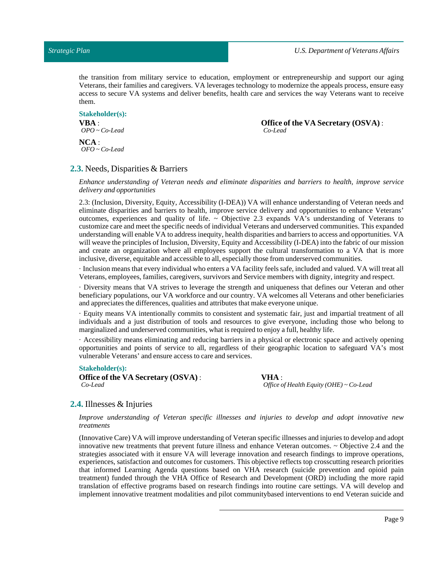the transition from military service to education, employment or entrepreneurship and support our aging Veterans, their families and caregivers. VA leverages technology to modernize the appeals process, ensure easy access to secure VA systems and deliver benefits, health care and services the way Veterans want to receive them.

#### **Stakeholder(s): VBA** : *OPO ~ Co-Lead*

**Office of the VA Secretary (OSVA)** : *Co-Lead*

**NCA** : *OFO ~ Co-Lead*

### <span id="page-8-0"></span>**2.3.** Needs, Disparities & Barriers

*Enhance understanding of Veteran needs and eliminate disparities and barriers to health, improve service delivery and opportunities*

2.3: (Inclusion, Diversity, Equity, Accessibility (I-DEA)) VA will enhance understanding of Veteran needs and eliminate disparities and barriers to health, improve service delivery and opportunities to enhance Veterans' outcomes, experiences and quality of life.  $\sim$  Objective 2.3 expands VA's understanding of Veterans to customize care and meetthe specific needs of individual Veterans and underserved communities. This expanded understanding will enable VA to address inequity, health disparities and barriers to access and opportunities. VA will weave the principles of Inclusion, Diversity, Equity and Accessibility (I-DEA) into the fabric of our mission and create an organization where all employees support the cultural transformation to a VA that is more inclusive, diverse, equitable and accessible to all, especially those from underserved communities.

· Inclusion means that every individual who enters a VA facility feels safe,included and valued. VA will treat all Veterans, employees, families, caregivers, survivors and Service members with dignity, integrity and respect.

· Diversity means that VA strives to leverage the strength and uniqueness that defines our Veteran and other beneficiary populations, our VA workforce and our country. VA welcomes all Veterans and other beneficiaries and appreciates the differences, qualities and attributes that make everyone unique.

· Equity means VA intentionally commits to consistent and systematic fair, just and impartial treatment of all individuals and a just distribution of tools and resources to give everyone, including those who belong to marginalized and underserved communities, what is required to enjoy a full, healthy life.

· Accessibility means eliminating and reducing barriers in a physical or electronic space and actively opening opportunities and points of service to all, regardless of their geographic location to safeguard VA's most vulnerable Veterans' and ensure access to care and services.

#### **Stakeholder(s):**

**Office of the VA Secretary (OSVA)** : *Co-Lead*

**VHA** : *Office of Health Equity (OHE) ~ Co-Lead*

### <span id="page-8-1"></span>**2.4.** Illnesses & Injuries

*Improve understanding of Veteran specific illnesses and injuries to develop and adopt innovative new treatments*

(Innovative Care) VA willimprove understanding of Veteran specific illnesses and injuries to develop and adopt innovative new treatments that prevent future illness and enhance Veteran outcomes. ~ Objective 2.4 and the strategies associated with it ensure VA will leverage innovation and research findings to improve operations, experiences, satisfaction and outcomes for customers. This objective reflects top crosscutting research priorities that informed Learning Agenda questions based on VHA research (suicide prevention and opioid pain treatment) funded through the VHA Office of Research and Development (ORD) including the more rapid translation of effective programs based on research findings into routine care settings. VA will develop and implement innovative treatment modalities and pilot communitybased interventions to end Veteran suicide and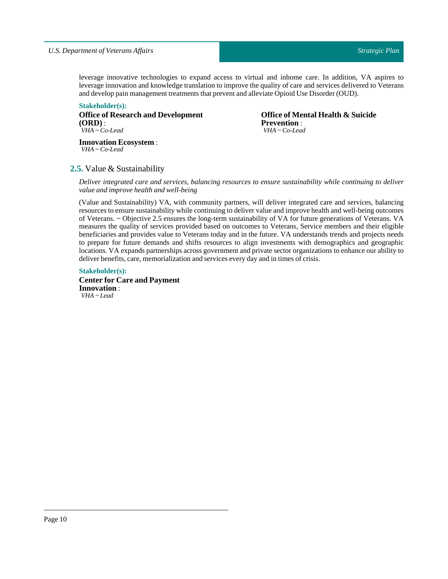leverage innovative technologies to expand access to virtual and inhome care. In addition, VA aspires to leverage innovation and knowledge translation to improve the quality of care and services delivered to Veterans and develop pain management treatments that prevent and alleviate Opioid Use Disorder (OUD).

**Stakeholder(s): Office of Research and Development (ORD)** : *VHA ~ Co-Lead*

**Office of Mental Health & Suicide Prevention** : *VHA ~ Co-Lead*

**Innovation Ecosystem** : *VHA ~ Co-Lead*

### <span id="page-9-0"></span>**2.5.** Value & Sustainability

*Deliver integrated care and services, balancing resources to ensure sustainability while continuing to deliver value and improve health and well-being*

(Value and Sustainability) VA, with community partners, will deliver integrated care and services, balancing resources to ensure sustainability while continuing to deliver value and improve health and well-being outcomes of Veterans. ~ Objective 2.5 ensures the long-term sustainability of VA for future generations of Veterans. VA measures the quality of services provided based on outcomes to Veterans, Service members and their eligible beneficiaries and provides value to Veterans today and in the future. VA understands trends and projects needs to prepare for future demands and shifts resources to align investments with demographics and geographic locations. VA expands partnerships across government and private sector organizations to enhance our ability to deliver benefits, care, memorialization and services every day and in times of crisis.

#### **Stakeholder(s):**

**Center for Care and Payment Innovation** : *VHA ~ Lead*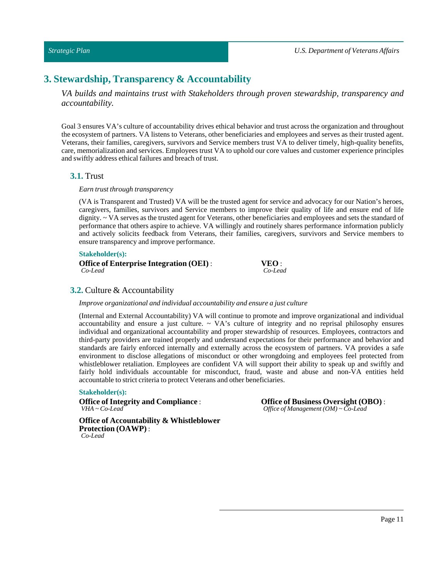*U.S. Department of Veterans Affairs*

# <span id="page-10-0"></span>**3. Stewardship, Transparency & Accountability**

*VA builds and maintains trust with Stakeholders through proven stewardship, transparency and accountability.*

Goal 3 ensures VA's culture of accountability drives ethical behavior and trust across the organization and throughout the ecosystem of partners. VA listens to Veterans, other beneficiaries and employees and serves as their trusted agent. Veterans, their families, caregivers, survivors and Service members trust VA to deliver timely, high-quality benefits, care, memorialization and services. Employees trust VA to uphold our core values and customer experience principles and swiftly address ethical failures and breach of trust.

### <span id="page-10-1"></span>**3.1.** Trust

 $Earn$  *trust through transparency* 

(VA is Transparent and Trusted) VA will be the trusted agent for service and advocacy for our Nation's heroes, caregivers, families, survivors and Service members to improve their quality of life and ensure end of life dignity. ~ VA serves as the trusted agent for Veterans, other beneficiaries and employees and sets the standard of performance that others aspire to achieve. VA willingly and routinely shares performance information publicly and actively solicits feedback from Veterans, their families, caregivers, survivors and Service members to ensure transparency and improve performance.

#### **Stakeholder(s):**

| <b>Office of Enterprise Integration (OEI):</b> | VEO:    |
|------------------------------------------------|---------|
| Co-Lead                                        | Co-Lead |

### <span id="page-10-2"></span>**3.2.** Culture & Accountability

*Improve organizational and individual accountability and ensure a just culture*

(Internal and External Accountability) VA will continue to promote and improve organizational and individual accountability and ensure a just culture.  $\sim$  VA's culture of integrity and no reprisal philosophy ensures individual and organizational accountability and proper stewardship of resources. Employees, contractors and third-party providers are trained properly and understand expectations for their performance and behavior and standards are fairly enforced internally and externally across the ecosystem of partners. VA provides a safe environment to disclose allegations of misconduct or other wrongdoing and employees feel protected from whistleblower retaliation. Employees are confident VA will support their ability to speak up and swiftly and fairly hold individuals accountable for misconduct, fraud, waste and abuse and non-VA entities held accountable to strict criteria to protect Veterans and other beneficiaries.

#### **Stakeholder(s):**

**Office** of Integrity and Compliance : *VHA ~ Co-Lead*

**Office of Business Oversight (OBO)** : *Office of Management (OM) ~ Co-Lead*

**Office of Accountability & Whistleblower Protection (OAWP)** : *Co-Lead*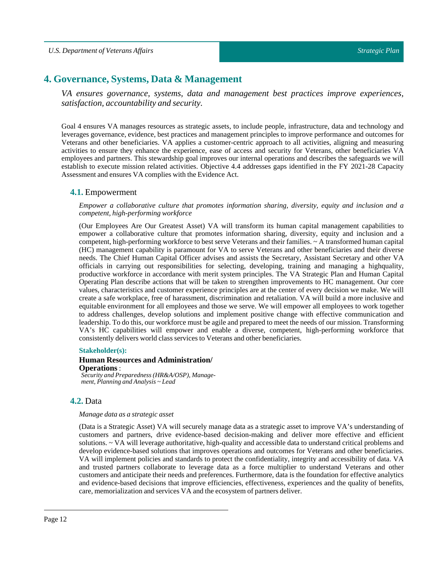# <span id="page-11-0"></span>**4. Governance, Systems, Data & Management**

*VA ensures governance, systems, data and management best practices improve experiences, satisfaction, accountability and security.*

Goal 4 ensures VA manages resources as strategic assets, to include people, infrastructure, data and technology and leverages governance, evidence, best practices and management principles to improve performance and outcomes for Veterans and other beneficiaries. VA applies a customer-centric approach to all activities, aligning and measuring activities to ensure they enhance the experience, ease of access and security for Veterans, other beneficiaries VA employees and partners. This stewardship goal improves our internal operations and describes the safeguards we will establish to execute mission related activities. Objective 4.4 addresses gaps identified in the FY 2021-28 Capacity Assessment and ensures VA complies with the Evidence Act.

### <span id="page-11-1"></span>**4.1.** Empowerment

*Empower a collaborative culture that promotes information sharing, diversity, equity and inclusion and a competent, high-performing workforce*

(Our Employees Are Our Greatest Asset) VA will transform its human capital management capabilities to empower a collaborative culture that promotes information sharing, diversity, equity and inclusion and a competent, high-performing workforce to best serve Veterans and their families. ~ A transformed human capital (HC) management capability is paramount for VA to serve Veterans and other beneficiaries and their diverse needs. The Chief Human Capital Officer advises and assists the Secretary, Assistant Secretary and other VA officials in carrying out responsibilities for selecting, developing, training and managing a highquality, productive workforce in accordance with merit system principles. The VA Strategic Plan and Human Capital Operating Plan describe actions that will be taken to strengthen improvements to HC management. Our core values, characteristics and customer experience principles are at the center of every decision we make. We will create a safe workplace, free of harassment, discrimination and retaliation. VA will build a more inclusive and equitable environment for all employees and those we serve. We will empower all employees to work together to address challenges, develop solutions and implement positive change with effective communication and leadership. To do this, our workforce must be agile and prepared to meet the needs of our mission. Transforming VA's HC capabilities will empower and enable a diverse, competent, high-performing workforce that consistently delivers world class services to Veterans and other beneficiaries.

#### **Stakeholder(s):**

#### **Human Resources and Administration/ Operations** : *Security and Preparedness (HR&A/OSP), Manage-*

*ment, Planning and Analysis ~ Lead*

### <span id="page-11-2"></span>**4.2.** Data

#### *Manage data as a strategic asset*

(Data is a Strategic Asset) VA will securely manage data as a strategic asset to improve VA's understanding of customers and partners, drive evidence-based decision-making and deliver more effective and efficient solutions. ~ VA will leverage authoritative, high-quality and accessible data to understand critical problems and develop evidence-based solutions that improves operations and outcomes for Veterans and other beneficiaries. VA will implement policies and standards to protect the confidentiality, integrity and accessibility of data. VA and trusted partners collaborate to leverage data as a force multiplier to understand Veterans and other customers and anticipate their needs and preferences. Furthermore, data is the foundation for effective analytics and evidence-based decisions that improve efficiencies, effectiveness, experiences and the quality of benefits, care, memorialization and services VA and the ecosystem of partners deliver.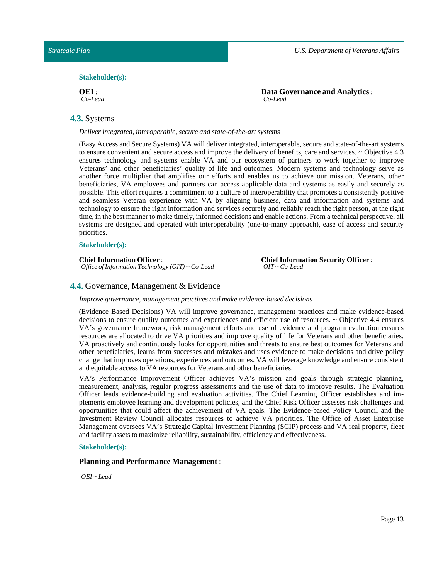#### $Stakeholder(s):$

#### **OEI**: *Co-Lead*

### <span id="page-12-0"></span>**4.3.** Systems

*Deliver integrated,interoperable, secure and state-of-the-art systems*

(Easy Access and Secure Systems) VA will deliver integrated, interoperable, secure and state-of-the-art systems to ensure convenient and secure access and improve the delivery of benefits, care and services. ~ Objective 4.3 ensures technology and systems enable VA and our ecosystem of partners to work together to improve Veterans' and other beneficiaries' quality of life and outcomes. Modern systems and technology serve as another force multiplier that amplifies our efforts and enables us to achieve our mission. Veterans, other beneficiaries, VA employees and partners can access applicable data and systems as easily and securely as possible. This effort requires a commitment to a culture of interoperability that promotes a consistently positive and seamless Veteran experience with VA by aligning business, data and information and systems and technology to ensure the right information and services securely and reliably reach the right person, at the right time, in the best manner to make timely, informed decisions and enable actions. From a technical perspective, all systems are designed and operated with interoperability (one-to-many approach), ease of access and security priorities.

#### **Stakeholder(s):**

#### **Chief Information Officer** : *Office of Information Technology (OIT) ~ Co-Lead*

**Chief Information Security Officer**: *OIT ~ Co-Lead*

### <span id="page-12-1"></span>**4.4.** Governance, Management & Evidence

*Improve governance, management practices and make evidence-based decisions*

(Evidence Based Decisions) VA will improve governance, management practices and make evidence-based decisions to ensure quality outcomes and experiences and efficient use of resources. ~ Objective 4.4 ensures VA's governance framework, risk management efforts and use of evidence and program evaluation ensures resources are allocated to drive VA priorities and improve quality of life for Veterans and other beneficiaries. VA proactively and continuously looks for opportunities and threats to ensure best outcomes for Veterans and other beneficiaries, learns from successes and mistakes and uses evidence to make decisions and drive policy change that improves operations, experiences and outcomes. VA will leverage knowledge and ensure consistent and equitable access to VA resources for Veterans and other beneficiaries.

VA's Performance Improvement Officer achieves VA's mission and goals through strategic planning, measurement, analysis, regular progress assessments and the use of data to improve results. The Evaluation Officer leads evidence-building and evaluation activities. The Chief Learning Officer establishes and implements employee learning and development policies, and the Chief Risk Officer assesses risk challenges and opportunities that could affect the achievement of VA goals. The Evidence-based Policy Council and the Investment Review Council allocates resources to achieve VA priorities. The Office of Asset Enterprise Management oversees VA's Strategic Capital Investment Planning (SCIP) process and VA real property, fleet and facility assets to maximize reliability, sustainability, efficiency and effectiveness.

#### **Stakeholder(s):**

### **Planning and Performance Management** :

*OEI ~ Lead*

**Data Governance and Analytics** : *Co-Lead*